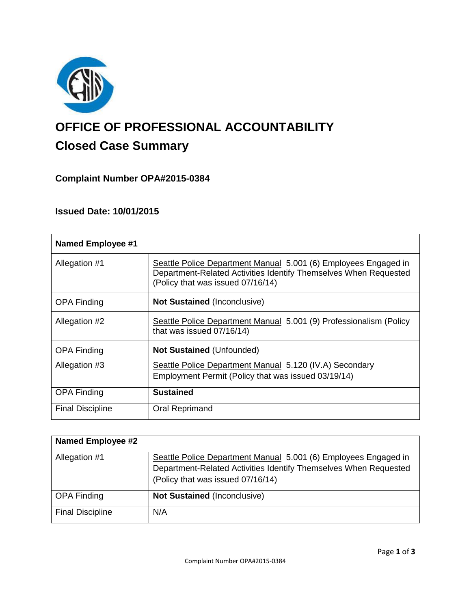

# **OFFICE OF PROFESSIONAL ACCOUNTABILITY Closed Case Summary**

# **Complaint Number OPA#2015-0384**

# **Issued Date: 10/01/2015**

| <b>Named Employee #1</b> |                                                                                                                                                                          |
|--------------------------|--------------------------------------------------------------------------------------------------------------------------------------------------------------------------|
| Allegation #1            | Seattle Police Department Manual 5.001 (6) Employees Engaged in<br>Department-Related Activities Identify Themselves When Requested<br>(Policy that was issued 07/16/14) |
| <b>OPA Finding</b>       | <b>Not Sustained (Inconclusive)</b>                                                                                                                                      |
| Allegation #2            | Seattle Police Department Manual 5.001 (9) Professionalism (Policy<br>that was issued 07/16/14)                                                                          |
| <b>OPA Finding</b>       | <b>Not Sustained (Unfounded)</b>                                                                                                                                         |
| Allegation #3            | Seattle Police Department Manual 5.120 (IV.A) Secondary                                                                                                                  |
|                          | Employment Permit (Policy that was issued 03/19/14)                                                                                                                      |
| <b>OPA Finding</b>       | <b>Sustained</b>                                                                                                                                                         |
| <b>Final Discipline</b>  | <b>Oral Reprimand</b>                                                                                                                                                    |

| <b>Named Employee #2</b> |                                                                  |
|--------------------------|------------------------------------------------------------------|
| Allegation #1            | Seattle Police Department Manual 5.001 (6) Employees Engaged in  |
|                          | Department-Related Activities Identify Themselves When Requested |
|                          | (Policy that was issued 07/16/14)                                |
|                          |                                                                  |
| <b>OPA Finding</b>       | Not Sustained (Inconclusive)                                     |
| <b>Final Discipline</b>  | N/A                                                              |
|                          |                                                                  |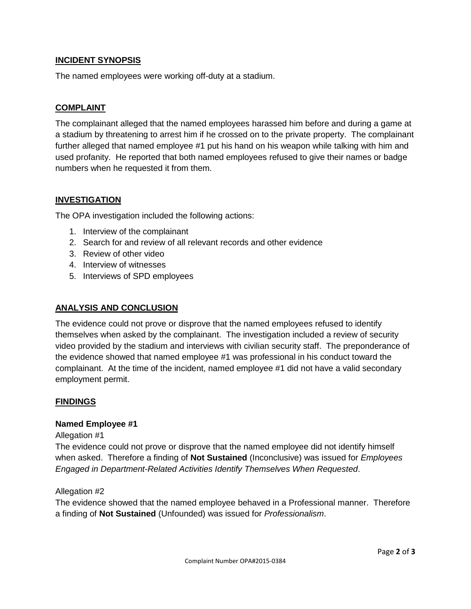# **INCIDENT SYNOPSIS**

The named employees were working off-duty at a stadium.

# **COMPLAINT**

The complainant alleged that the named employees harassed him before and during a game at a stadium by threatening to arrest him if he crossed on to the private property. The complainant further alleged that named employee #1 put his hand on his weapon while talking with him and used profanity. He reported that both named employees refused to give their names or badge numbers when he requested it from them.

# **INVESTIGATION**

The OPA investigation included the following actions:

- 1. Interview of the complainant
- 2. Search for and review of all relevant records and other evidence
- 3. Review of other video
- 4. Interview of witnesses
- 5. Interviews of SPD employees

# **ANALYSIS AND CONCLUSION**

The evidence could not prove or disprove that the named employees refused to identify themselves when asked by the complainant. The investigation included a review of security video provided by the stadium and interviews with civilian security staff. The preponderance of the evidence showed that named employee #1 was professional in his conduct toward the complainant. At the time of the incident, named employee #1 did not have a valid secondary employment permit.

#### **FINDINGS**

#### **Named Employee #1**

#### Allegation #1

The evidence could not prove or disprove that the named employee did not identify himself when asked. Therefore a finding of **Not Sustained** (Inconclusive) was issued for *Employees Engaged in Department-Related Activities Identify Themselves When Requested*.

#### Allegation #2

The evidence showed that the named employee behaved in a Professional manner. Therefore a finding of **Not Sustained** (Unfounded) was issued for *Professionalism*.